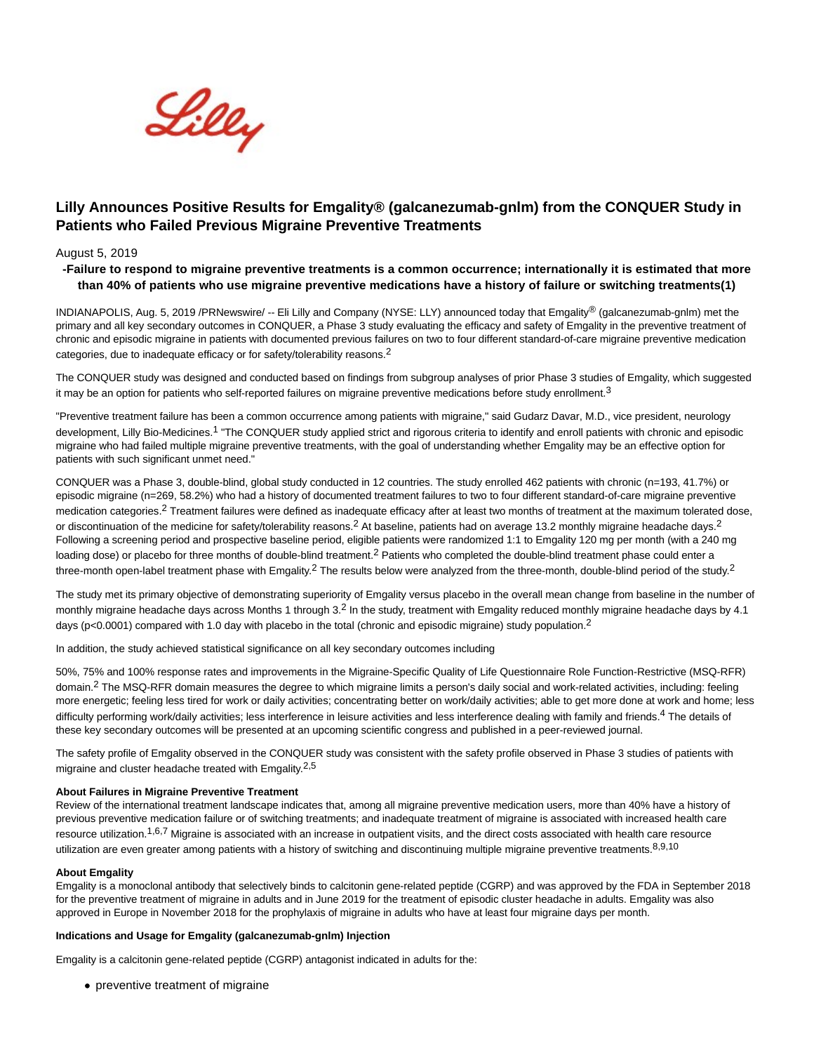

# **Lilly Announces Positive Results for Emgality® (galcanezumab-gnlm) from the CONQUER Study in Patients who Failed Previous Migraine Preventive Treatments**

# August 5, 2019

# **-Failure to respond to migraine preventive treatments is a common occurrence; internationally it is estimated that more than 40% of patients who use migraine preventive medications have a history of failure or switching treatments(1)**

INDIANAPOLIS, Aug. 5, 2019 /PRNewswire/ -- Eli Lilly and Company (NYSE: LLY) announced today that Emgality® (galcanezumab-gnlm) met the primary and all key secondary outcomes in CONQUER, a Phase 3 study evaluating the efficacy and safety of Emgality in the preventive treatment of chronic and episodic migraine in patients with documented previous failures on two to four different standard-of-care migraine preventive medication categories, due to inadequate efficacy or for safety/tolerability reasons.<sup>2</sup>

The CONQUER study was designed and conducted based on findings from subgroup analyses of prior Phase 3 studies of Emgality, which suggested it may be an option for patients who self-reported failures on migraine preventive medications before study enrollment.<sup>3</sup>

"Preventive treatment failure has been a common occurrence among patients with migraine," said Gudarz Davar, M.D., vice president, neurology development, Lilly Bio-Medicines.<sup>1</sup> "The CONQUER study applied strict and rigorous criteria to identify and enroll patients with chronic and episodic migraine who had failed multiple migraine preventive treatments, with the goal of understanding whether Emgality may be an effective option for patients with such significant unmet need."

CONQUER was a Phase 3, double-blind, global study conducted in 12 countries. The study enrolled 462 patients with chronic (n=193, 41.7%) or episodic migraine (n=269, 58.2%) who had a history of documented treatment failures to two to four different standard-of-care migraine preventive medication categories.<sup>2</sup> Treatment failures were defined as inadequate efficacy after at least two months of treatment at the maximum tolerated dose, or discontinuation of the medicine for safety/tolerability reasons.<sup>2</sup> At baseline, patients had on average 13.2 monthly migraine headache days.<sup>2</sup> Following a screening period and prospective baseline period, eligible patients were randomized 1:1 to Emgality 120 mg per month (with a 240 mg loading dose) or placebo for three months of double-blind treatment.<sup>2</sup> Patients who completed the double-blind treatment phase could enter a three-month open-label treatment phase with Emgality.<sup>2</sup> The results below were analyzed from the three-month, double-blind period of the study.<sup>2</sup>

The study met its primary objective of demonstrating superiority of Emgality versus placebo in the overall mean change from baseline in the number of monthly migraine headache days across Months 1 through  $3<sup>2</sup>$  In the study, treatment with Emgality reduced monthly migraine headache days by 4.1 days (p<0.0001) compared with 1.0 day with placebo in the total (chronic and episodic migraine) study population.<sup>2</sup>

In addition, the study achieved statistical significance on all key secondary outcomes including

50%, 75% and 100% response rates and improvements in the Migraine-Specific Quality of Life Questionnaire Role Function-Restrictive (MSQ-RFR) domain.<sup>2</sup> The MSQ-RFR domain measures the degree to which migraine limits a person's daily social and work-related activities, including: feeling more energetic; feeling less tired for work or daily activities; concentrating better on work/daily activities; able to get more done at work and home; less difficulty performing work/daily activities; less interference in leisure activities and less interference dealing with family and friends.<sup>4</sup> The details of these key secondary outcomes will be presented at an upcoming scientific congress and published in a peer-reviewed journal.

The safety profile of Emgality observed in the CONQUER study was consistent with the safety profile observed in Phase 3 studies of patients with migraine and cluster headache treated with Emgality.<sup>2,5</sup>

#### **About Failures in Migraine Preventive Treatment**

Review of the international treatment landscape indicates that, among all migraine preventive medication users, more than 40% have a history of previous preventive medication failure or of switching treatments; and inadequate treatment of migraine is associated with increased health care resource utilization.<sup>1,6,7</sup> Migraine is associated with an increase in outpatient visits, and the direct costs associated with health care resource utilization are even greater among patients with a history of switching and discontinuing multiple migraine preventive treatments.<sup>8,9,10</sup>

#### **About Emgality**

Emgality is a monoclonal antibody that selectively binds to calcitonin gene-related peptide (CGRP) and was approved by the FDA in September 2018 for the preventive treatment of migraine in adults and in June 2019 for the treatment of episodic cluster headache in adults. Emgality was also approved in Europe in November 2018 for the prophylaxis of migraine in adults who have at least four migraine days per month.

#### **Indications and Usage for Emgality (galcanezumab-gnlm) Injection**

Emgality is a calcitonin gene-related peptide (CGRP) antagonist indicated in adults for the:

• preventive treatment of migraine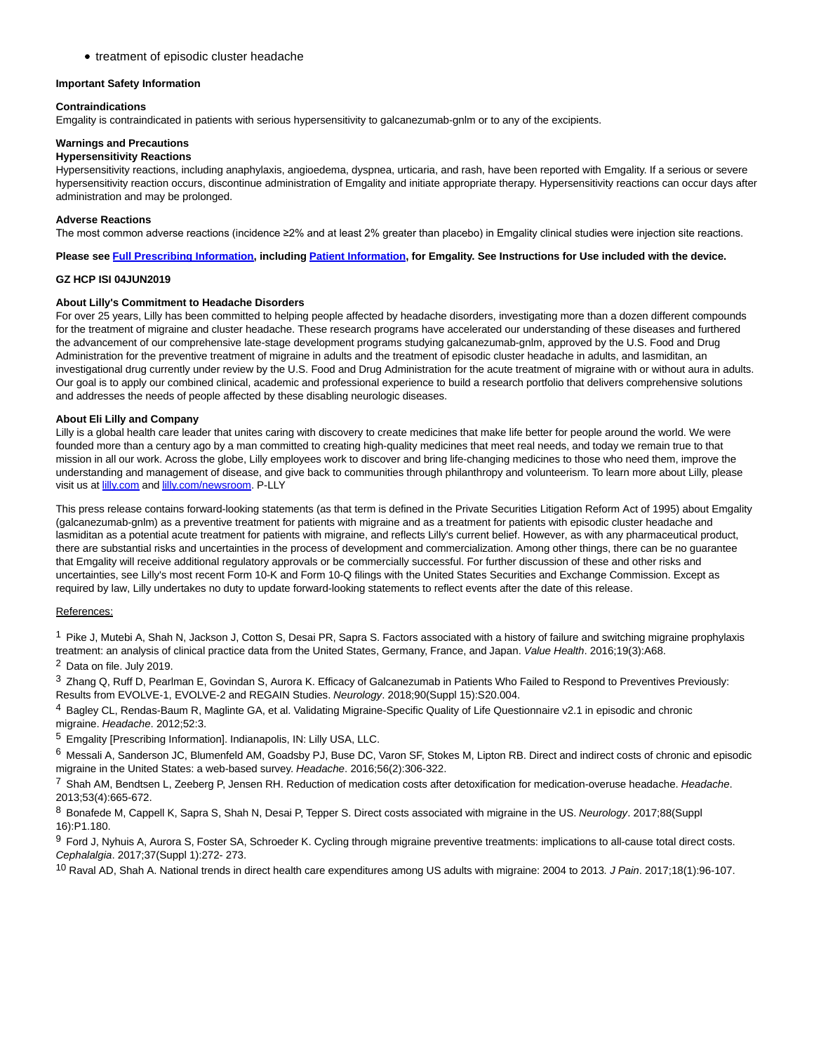• treatment of episodic cluster headache

#### **Important Safety Information**

#### **Contraindications**

Emgality is contraindicated in patients with serious hypersensitivity to galcanezumab-gnlm or to any of the excipients.

#### **Warnings and Precautions**

# **Hypersensitivity Reactions**

Hypersensitivity reactions, including anaphylaxis, angioedema, dyspnea, urticaria, and rash, have been reported with Emgality. If a serious or severe hypersensitivity reaction occurs, discontinue administration of Emgality and initiate appropriate therapy. Hypersensitivity reactions can occur days after administration and may be prolonged.

#### **Adverse Reactions**

The most common adverse reactions (incidence ≥2% and at least 2% greater than placebo) in Emgality clinical studies were injection site reactions.

# **Please see [Full Prescribing Information,](https://c212.net/c/link/?t=0&l=en&o=2541397-1&h=642819481&u=http%3A%2F%2Fuspl.lilly.com%2Femgality%2Femgality.html%3Fs%3Dpi&a=Full+Prescribing+Information) including [Patient Information,](https://c212.net/c/link/?t=0&l=en&o=2541397-1&h=1020575795&u=http%3A%2F%2Fuspl.lilly.com%2Femgality%2Femgality.html%3Fs%3Dppi&a=Patient+Information) for Emgality. See Instructions for Use included with the device.**

# **GZ HCP ISI 04JUN2019**

# **About Lilly's Commitment to Headache Disorders**

For over 25 years, Lilly has been committed to helping people affected by headache disorders, investigating more than a dozen different compounds for the treatment of migraine and cluster headache. These research programs have accelerated our understanding of these diseases and furthered the advancement of our comprehensive late-stage development programs studying galcanezumab-gnlm, approved by the U.S. Food and Drug Administration for the preventive treatment of migraine in adults and the treatment of episodic cluster headache in adults, and lasmiditan, an investigational drug currently under review by the U.S. Food and Drug Administration for the acute treatment of migraine with or without aura in adults. Our goal is to apply our combined clinical, academic and professional experience to build a research portfolio that delivers comprehensive solutions and addresses the needs of people affected by these disabling neurologic diseases.

# **About Eli Lilly and Company**

Lilly is a global health care leader that unites caring with discovery to create medicines that make life better for people around the world. We were founded more than a century ago by a man committed to creating high-quality medicines that meet real needs, and today we remain true to that mission in all our work. Across the globe, Lilly employees work to discover and bring life-changing medicines to those who need them, improve the understanding and management of disease, and give back to communities through philanthropy and volunteerism. To learn more about Lilly, please visit us at **lilly.com** and **lilly.com/newsroom**. P-LLY

This press release contains forward-looking statements (as that term is defined in the Private Securities Litigation Reform Act of 1995) about Emgality (galcanezumab-gnlm) as a preventive treatment for patients with migraine and as a treatment for patients with episodic cluster headache and lasmiditan as a potential acute treatment for patients with migraine, and reflects Lilly's current belief. However, as with any pharmaceutical product, there are substantial risks and uncertainties in the process of development and commercialization. Among other things, there can be no guarantee that Emgality will receive additional regulatory approvals or be commercially successful. For further discussion of these and other risks and uncertainties, see Lilly's most recent Form 10-K and Form 10-Q filings with the United States Securities and Exchange Commission. Except as required by law, Lilly undertakes no duty to update forward-looking statements to reflect events after the date of this release.

# References:

<sup>1</sup> Pike J, Mutebi A, Shah N, Jackson J, Cotton S, Desai PR, Sapra S. Factors associated with a history of failure and switching migraine prophylaxis treatment: an analysis of clinical practice data from the United States, Germany, France, and Japan. Value Health. 2016;19(3):A68.

2 Data on file. July 2019.

3 Zhang Q, Ruff D, Pearlman E, Govindan S, Aurora K. Efficacy of Galcanezumab in Patients Who Failed to Respond to Preventives Previously: Results from EVOLVE-1, EVOLVE-2 and REGAIN Studies. Neurology. 2018;90(Suppl 15):S20.004.

4 Bagley CL, Rendas-Baum R, Maglinte GA, et al. Validating Migraine-Specific Quality of Life Questionnaire v2.1 in episodic and chronic migraine. Headache. 2012;52:3.

5 Emgality [Prescribing Information]. Indianapolis, IN: Lilly USA, LLC.

6 Messali A, Sanderson JC, Blumenfeld AM, Goadsby PJ, Buse DC, Varon SF, Stokes M, Lipton RB. Direct and indirect costs of chronic and episodic migraine in the United States: a web-based survey. Headache. 2016;56(2):306-322.

<sup>7</sup> Shah AM, Bendtsen L, Zeeberg P, Jensen RH. Reduction of medication costs after detoxification for medication-overuse headache. Headache. 2013;53(4):665-672.

8 Bonafede M, Cappell K, Sapra S, Shah N, Desai P, Tepper S. Direct costs associated with migraine in the US. Neurology. 2017;88(Suppl 16):P1.180.

9 Ford J, Nyhuis A, Aurora S, Foster SA, Schroeder K. Cycling through migraine preventive treatments: implications to all-cause total direct costs. Cephalalgia. 2017;37(Suppl 1):272- 273.

<sup>10</sup> Raval AD, Shah A. National trends in direct health care expenditures among US adults with migraine: 2004 to 2013. J Pain. 2017;18(1):96-107.